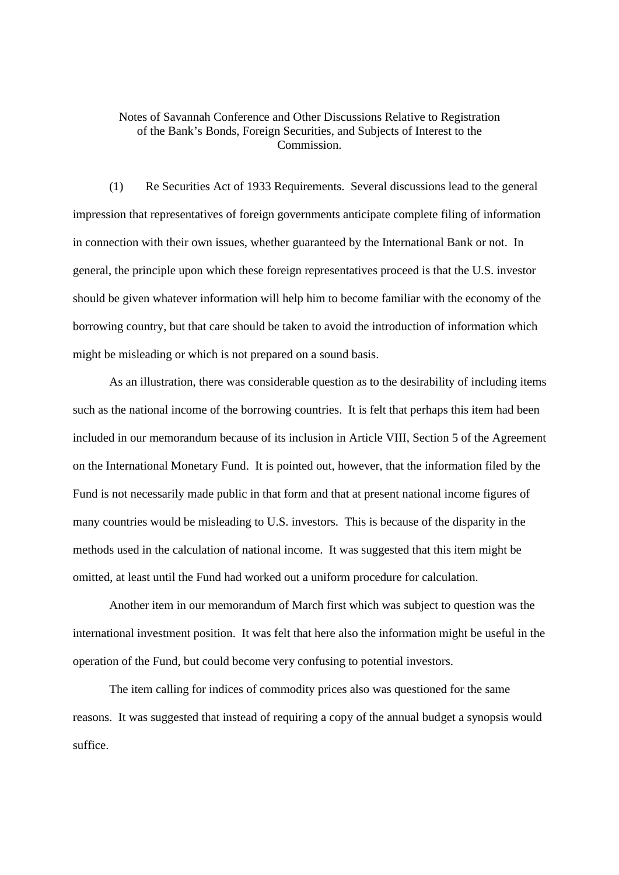## Notes of Savannah Conference and Other Discussions Relative to Registration of the Bank's Bonds, Foreign Securities, and Subjects of Interest to the Commission.

(1) Re Securities Act of 1933 Requirements. Several discussions lead to the general impression that representatives of foreign governments anticipate complete filing of information in connection with their own issues, whether guaranteed by the International Bank or not. In general, the principle upon which these foreign representatives proceed is that the U.S. investor should be given whatever information will help him to become familiar with the economy of the borrowing country, but that care should be taken to avoid the introduction of information which might be misleading or which is not prepared on a sound basis.

As an illustration, there was considerable question as to the desirability of including items such as the national income of the borrowing countries. It is felt that perhaps this item had been included in our memorandum because of its inclusion in Article VIII, Section 5 of the Agreement on the International Monetary Fund. It is pointed out, however, that the information filed by the Fund is not necessarily made public in that form and that at present national income figures of many countries would be misleading to U.S. investors. This is because of the disparity in the methods used in the calculation of national income. It was suggested that this item might be omitted, at least until the Fund had worked out a uniform procedure for calculation.

Another item in our memorandum of March first which was subject to question was the international investment position. It was felt that here also the information might be useful in the operation of the Fund, but could become very confusing to potential investors.

The item calling for indices of commodity prices also was questioned for the same reasons. It was suggested that instead of requiring a copy of the annual budget a synopsis would suffice.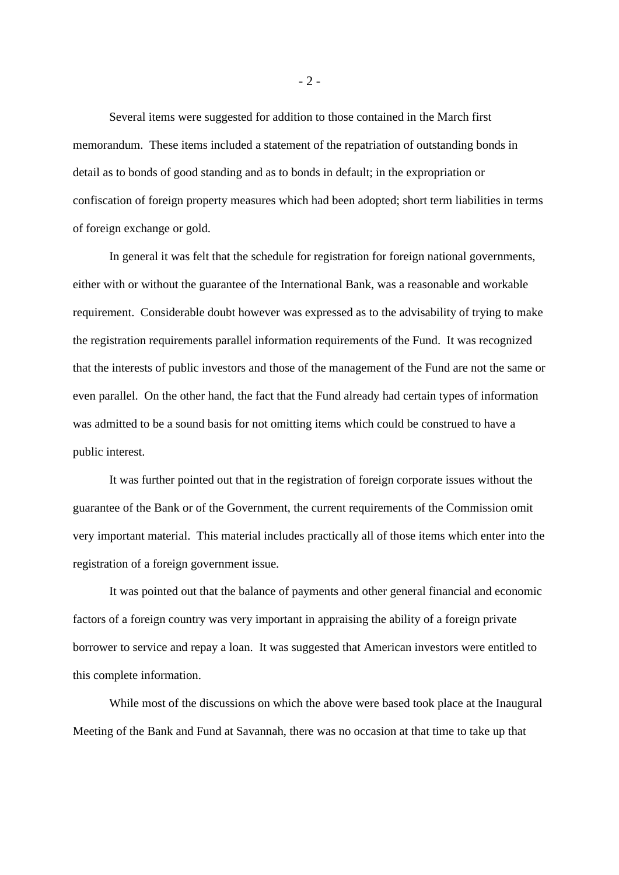Several items were suggested for addition to those contained in the March first memorandum. These items included a statement of the repatriation of outstanding bonds in detail as to bonds of good standing and as to bonds in default; in the expropriation or confiscation of foreign property measures which had been adopted; short term liabilities in terms of foreign exchange or gold.

In general it was felt that the schedule for registration for foreign national governments, either with or without the guarantee of the International Bank, was a reasonable and workable requirement. Considerable doubt however was expressed as to the advisability of trying to make the registration requirements parallel information requirements of the Fund. It was recognized that the interests of public investors and those of the management of the Fund are not the same or even parallel. On the other hand, the fact that the Fund already had certain types of information was admitted to be a sound basis for not omitting items which could be construed to have a public interest.

It was further pointed out that in the registration of foreign corporate issues without the guarantee of the Bank or of the Government, the current requirements of the Commission omit very important material. This material includes practically all of those items which enter into the registration of a foreign government issue.

It was pointed out that the balance of payments and other general financial and economic factors of a foreign country was very important in appraising the ability of a foreign private borrower to service and repay a loan. It was suggested that American investors were entitled to this complete information.

While most of the discussions on which the above were based took place at the Inaugural Meeting of the Bank and Fund at Savannah, there was no occasion at that time to take up that

- 2 -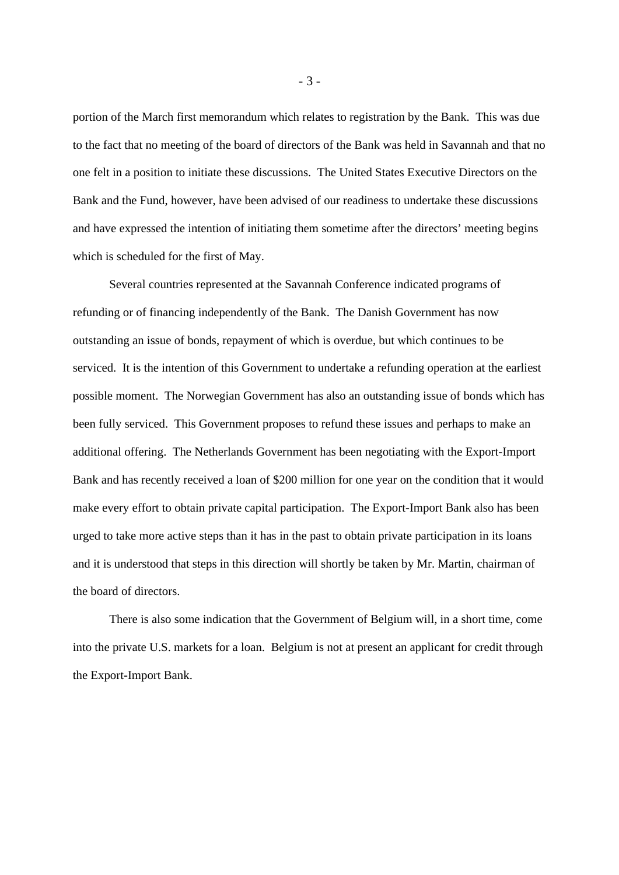portion of the March first memorandum which relates to registration by the Bank. This was due to the fact that no meeting of the board of directors of the Bank was held in Savannah and that no one felt in a position to initiate these discussions. The United States Executive Directors on the Bank and the Fund, however, have been advised of our readiness to undertake these discussions and have expressed the intention of initiating them sometime after the directors' meeting begins which is scheduled for the first of May.

Several countries represented at the Savannah Conference indicated programs of refunding or of financing independently of the Bank. The Danish Government has now outstanding an issue of bonds, repayment of which is overdue, but which continues to be serviced. It is the intention of this Government to undertake a refunding operation at the earliest possible moment. The Norwegian Government has also an outstanding issue of bonds which has been fully serviced. This Government proposes to refund these issues and perhaps to make an additional offering. The Netherlands Government has been negotiating with the Export-Import Bank and has recently received a loan of \$200 million for one year on the condition that it would make every effort to obtain private capital participation. The Export-Import Bank also has been urged to take more active steps than it has in the past to obtain private participation in its loans and it is understood that steps in this direction will shortly be taken by Mr. Martin, chairman of the board of directors.

There is also some indication that the Government of Belgium will, in a short time, come into the private U.S. markets for a loan. Belgium is not at present an applicant for credit through the Export-Import Bank.

- 3 -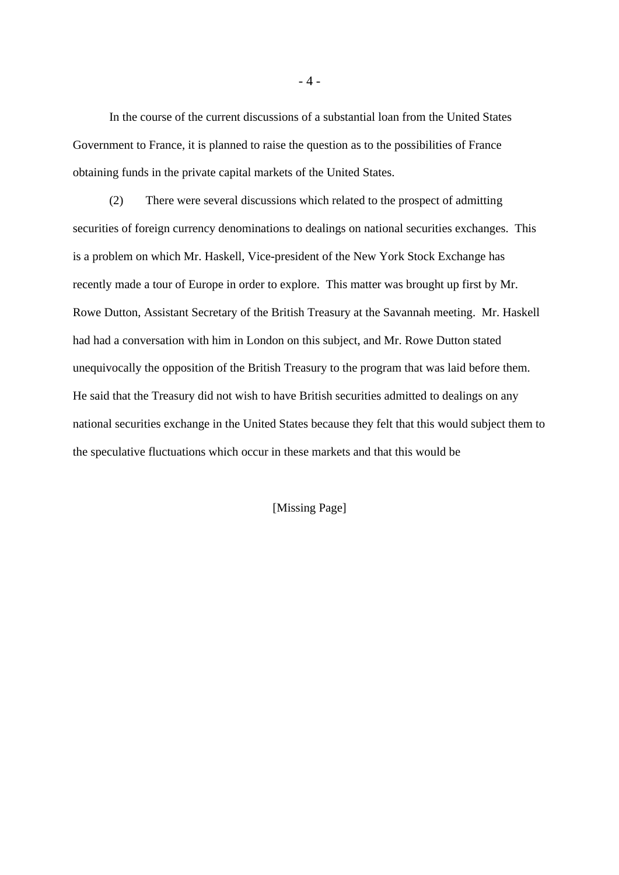In the course of the current discussions of a substantial loan from the United States Government to France, it is planned to raise the question as to the possibilities of France obtaining funds in the private capital markets of the United States.

(2) There were several discussions which related to the prospect of admitting securities of foreign currency denominations to dealings on national securities exchanges. This is a problem on which Mr. Haskell, Vice-president of the New York Stock Exchange has recently made a tour of Europe in order to explore. This matter was brought up first by Mr. Rowe Dutton, Assistant Secretary of the British Treasury at the Savannah meeting. Mr. Haskell had had a conversation with him in London on this subject, and Mr. Rowe Dutton stated unequivocally the opposition of the British Treasury to the program that was laid before them. He said that the Treasury did not wish to have British securities admitted to dealings on any national securities exchange in the United States because they felt that this would subject them to the speculative fluctuations which occur in these markets and that this would be

[Missing Page]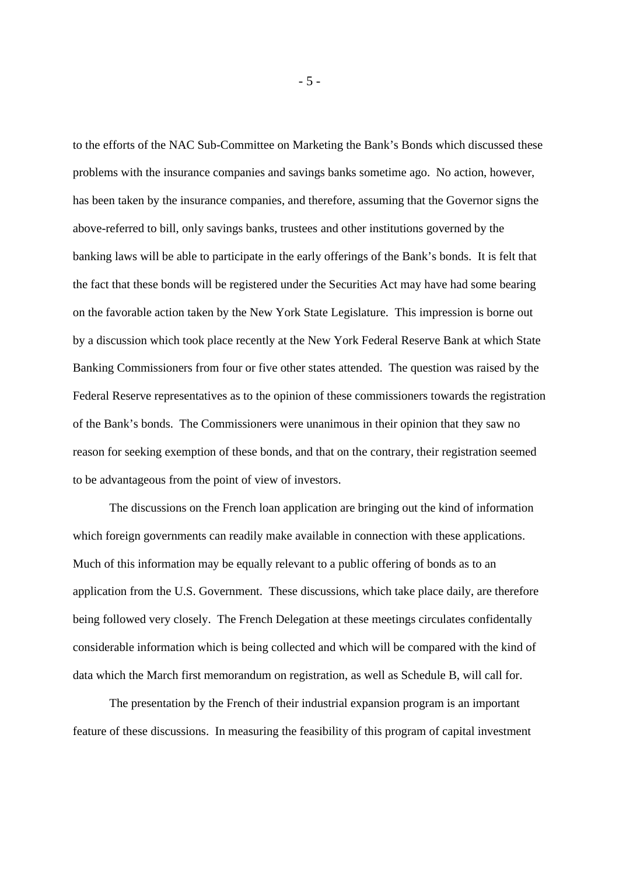to the efforts of the NAC Sub-Committee on Marketing the Bank's Bonds which discussed these problems with the insurance companies and savings banks sometime ago. No action, however, has been taken by the insurance companies, and therefore, assuming that the Governor signs the above-referred to bill, only savings banks, trustees and other institutions governed by the banking laws will be able to participate in the early offerings of the Bank's bonds. It is felt that the fact that these bonds will be registered under the Securities Act may have had some bearing on the favorable action taken by the New York State Legislature. This impression is borne out by a discussion which took place recently at the New York Federal Reserve Bank at which State Banking Commissioners from four or five other states attended. The question was raised by the Federal Reserve representatives as to the opinion of these commissioners towards the registration of the Bank's bonds. The Commissioners were unanimous in their opinion that they saw no reason for seeking exemption of these bonds, and that on the contrary, their registration seemed to be advantageous from the point of view of investors.

The discussions on the French loan application are bringing out the kind of information which foreign governments can readily make available in connection with these applications. Much of this information may be equally relevant to a public offering of bonds as to an application from the U.S. Government. These discussions, which take place daily, are therefore being followed very closely. The French Delegation at these meetings circulates confidentally considerable information which is being collected and which will be compared with the kind of data which the March first memorandum on registration, as well as Schedule B, will call for.

The presentation by the French of their industrial expansion program is an important feature of these discussions. In measuring the feasibility of this program of capital investment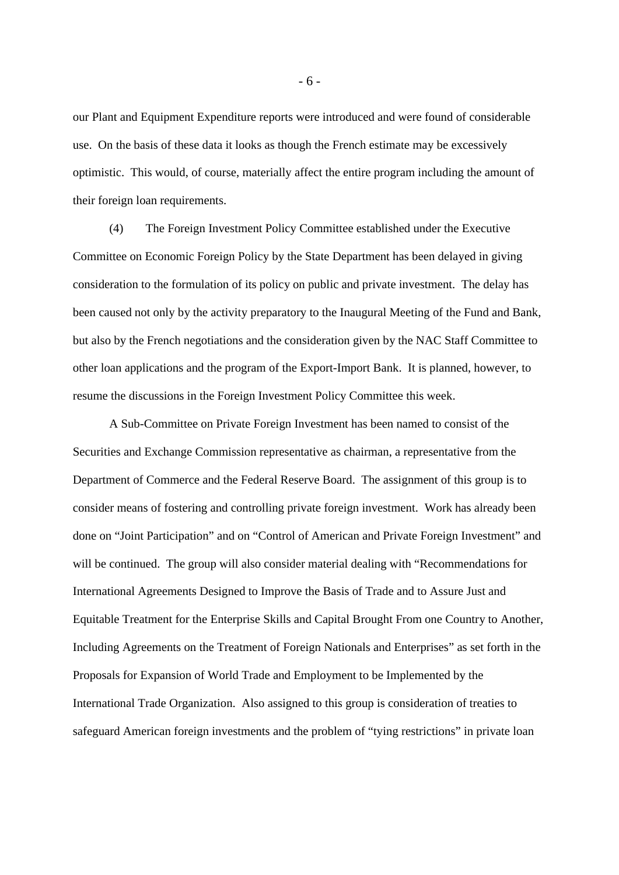our Plant and Equipment Expenditure reports were introduced and were found of considerable use. On the basis of these data it looks as though the French estimate may be excessively optimistic. This would, of course, materially affect the entire program including the amount of their foreign loan requirements.

(4) The Foreign Investment Policy Committee established under the Executive Committee on Economic Foreign Policy by the State Department has been delayed in giving consideration to the formulation of its policy on public and private investment. The delay has been caused not only by the activity preparatory to the Inaugural Meeting of the Fund and Bank, but also by the French negotiations and the consideration given by the NAC Staff Committee to other loan applications and the program of the Export-Import Bank. It is planned, however, to resume the discussions in the Foreign Investment Policy Committee this week.

A Sub-Committee on Private Foreign Investment has been named to consist of the Securities and Exchange Commission representative as chairman, a representative from the Department of Commerce and the Federal Reserve Board. The assignment of this group is to consider means of fostering and controlling private foreign investment. Work has already been done on "Joint Participation" and on "Control of American and Private Foreign Investment" and will be continued. The group will also consider material dealing with "Recommendations for International Agreements Designed to Improve the Basis of Trade and to Assure Just and Equitable Treatment for the Enterprise Skills and Capital Brought From one Country to Another, Including Agreements on the Treatment of Foreign Nationals and Enterprises" as set forth in the Proposals for Expansion of World Trade and Employment to be Implemented by the International Trade Organization. Also assigned to this group is consideration of treaties to safeguard American foreign investments and the problem of "tying restrictions" in private loan

- 6 -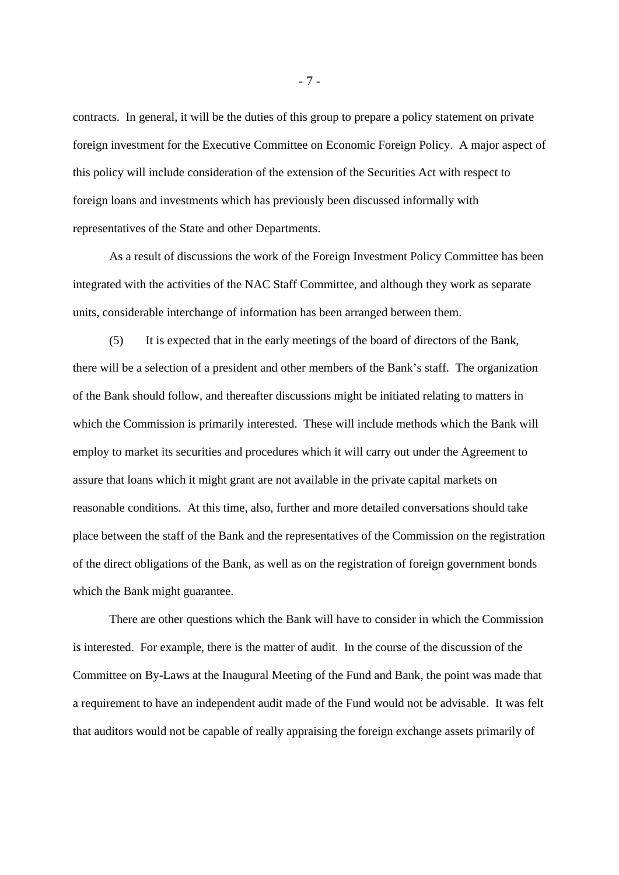contracts. In general, it will be the duties of this group to prepare a policy statement on private foreign investment for the Executive Committee on Economic Foreign Policy. A major aspect of this policy will include consideration of the extension of the Securities Act with respect to foreign loans and investments which has previously been discussed informally with representatives of the State and other Departments.

As a result of discussions the work of the Foreign Investment Policy Committee has been integrated with the activities of the NAC Staff Committee, and although they work as separate units, considerable interchange of information has been arranged between them.

(5) It is expected that in the early meetings of the board of directors of the Bank, there will be a selection of a president and other members of the Bank's staff. The organization of the Bank should follow, and thereafter discussions might be initiated relating to matters in which the Commission is primarily interested. These will include methods which the Bank will employ to market its securities and procedures which it will carry out under the Agreement to assure that loans which it might grant are not available in the private capital markets on reasonable conditions. At this time, also, further and more detailed conversations should take place between the staff of the Bank and the representatives of the Commission on the registration of the direct obligations of the Bank, as well as on the registration of foreign government bonds which the Bank might guarantee.

There are other questions which the Bank will have to consider in which the Commission is interested. For example, there is the matter of audit. In the course of the discussion of the Committee on By-Laws at the Inaugural Meeting of the Fund and Bank, the point was made that a requirement to have an independent audit made of the Fund would not be advisable. It was felt that auditors would not be capable of really appraising the foreign exchange assets primarily of

- 7 -